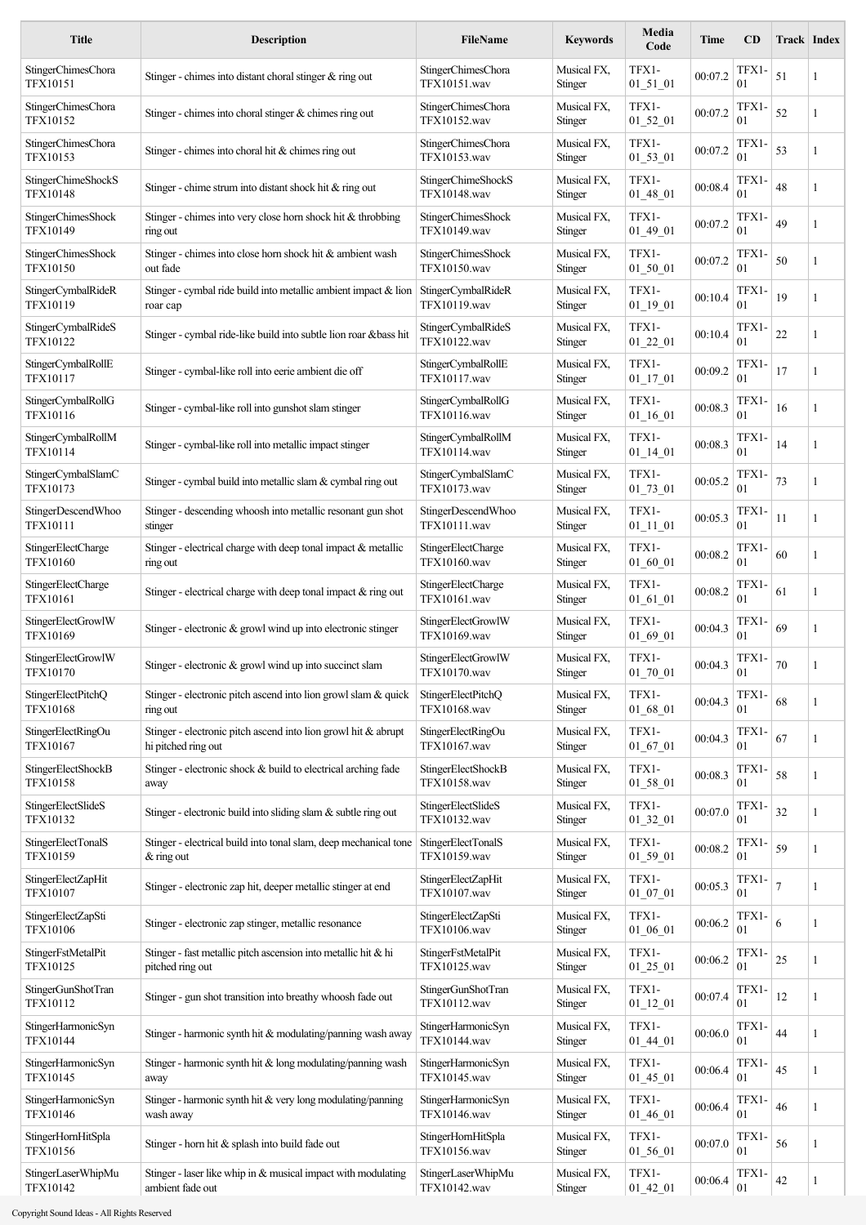| <b>Title</b>                                 | <b>Description</b>                                                                       | <b>FileName</b>                           | <b>Keywords</b>        | Media<br>Code                             | <b>Time</b> | CD            | Track Index    |   |
|----------------------------------------------|------------------------------------------------------------------------------------------|-------------------------------------------|------------------------|-------------------------------------------|-------------|---------------|----------------|---|
| StingerChimesChora<br>TFX10151               | Stinger - chimes into distant choral stinger $&$ ring out                                | <b>StingerChimesChora</b><br>TFX10151.wav | Musical FX,<br>Stinger | TFX1-<br>$01\_51\_01$                     | 00:07.2     | TFX1-<br>01   | 51             | 1 |
| <b>StingerChimesChora</b><br>TFX10152        | Stinger - chimes into choral stinger $&$ chimes ring out                                 | <b>StingerChimesChora</b><br>TFX10152.wav | Musical FX,<br>Stinger | TFX1-<br>$01\_52\_01$                     | 00:07.2     | TFX1-<br>01   | 52             | 1 |
| <b>StingerChimesChora</b><br>TFX10153        | Stinger - chimes into choral hit $&$ chimes ring out                                     | StingerChimesChora<br>TFX10153.wav        | Musical FX,<br>Stinger | TFX1-<br>$01_53_01$                       | 00:07.2     | TFX1-<br>01   | 53             | 1 |
| StingerChimeShockS<br>TFX10148               | Stinger - chime strum into distant shock hit $&$ ring out                                | StingerChimeShockS<br>TFX10148.wav        | Musical FX,<br>Stinger | TFX1-<br>$01_48_01$                       | 00:08.4     | TFX1-<br>01   | 48             | 1 |
| <b>StingerChimesShock</b><br>TFX10149        | Stinger - chimes into very close horn shock hit $&$ throbbing<br>ring out                | StingerChimesShock<br>TFX10149.wav        | Musical FX,<br>Stinger | TFX1-<br>$01_49_01$                       | 00:07.2     | TFX1-<br>01   | 49             | 1 |
| <b>StingerChimesShock</b><br><b>TFX10150</b> | Stinger - chimes into close horn shock hit & ambient wash<br>out fade                    | StingerChimesShock<br>TFX10150.wav        | Musical FX,<br>Stinger | TFX1-<br>$01\_50\_01$                     | 00:07.2     | TFX1-<br>01   | 50             | 1 |
| StingerCymbalRideR<br>TFX10119               | Stinger - cymbal ride build into metallic ambient impact & lion<br>roar cap              | StingerCymbalRideR<br>TFX10119.wav        | Musical FX,<br>Stinger | TFX1-<br>$01\_19\_01$                     | 00:10.4     | TFX1-<br>01   | 19             | 1 |
| StingerCymbalRideS<br>TFX10122               | Stinger - cymbal ride-like build into subtle lion roar &bass hit                         | StingerCymbalRideS<br><b>TFX10122.wav</b> | Musical FX,<br>Stinger | TFX1-<br>$01_22_01$                       | 00:10.4     | TFX1-<br>01   | 22             | 1 |
| StingerCymbalRollE<br>TFX10117               | Stinger - cymbal-like roll into eerie ambient die off                                    | StingerCymbalRollE<br>TFX10117.wav        | Musical FX,<br>Stinger | TFX1-<br>$01$ <sup>17</sup> <sup>01</sup> | 00:09.2     | TFX1-<br>01   | 17             | 1 |
| StingerCymbalRollG<br>TFX10116               | Stinger - cymbal-like roll into gunshot slam stinger                                     | StingerCymbalRollG<br>TFX10116.wav        | Musical FX,<br>Stinger | TFX1-<br>$01\_16\_01$                     | 00:08.3     | TFX1-<br>01   | 16             | 1 |
| StingerCymbalRollM<br>TFX10114               | Stinger - cymbal-like roll into metallic impact stinger                                  | StingerCymbalRollM<br>TFX10114.wav        | Musical FX,<br>Stinger | TFX1-<br>$01\_14\_01$                     | 00:08.3     | TFX1-<br>01   | 14             | 1 |
| StingerCymbalSlamC<br>TFX10173               | Stinger - cymbal build into metallic slam & cymbal ring out                              | StingerCymbalSlamC<br>TFX10173.wav        | Musical FX,<br>Stinger | TFX1-<br>$01_73_01$                       | 00:05.2     | TFX1-<br>01   | 73             | 1 |
| StingerDescendWhoo<br>TFX10111               | Stinger - descending whoosh into metallic resonant gun shot<br>stinger                   | StingerDescendWhoo<br>TFX10111.wav        | Musical FX,<br>Stinger | TFX1-<br>$01\_11\_01$                     | 00:05.3     | TFX1-<br>01   | 11             | 1 |
| StingerElectCharge<br>TFX10160               | Stinger - electrical charge with deep tonal impact $\&$ metallic<br>ring out             | StingerElectCharge<br>TFX10160.wav        | Musical FX,<br>Stinger | TFX1-<br>$01\_60\_01$                     | 00:08.2     | TFX1-<br>01   | 60             | 1 |
| StingerElectCharge<br>TFX10161               | Stinger - electrical charge with deep tonal impact $\&$ ring out                         | StingerElectCharge<br>TFX10161.wav        | Musical FX,<br>Stinger | TFX1-<br>$01_61_01$                       | 00:08.2     | TFX1-<br>01   | 61             | 1 |
| StingerElectGrowIW<br>TFX10169               | Stinger - electronic $\&$ growl wind up into electronic stinger                          | StingerElectGrowIW<br>TFX10169.wav        | Musical FX,<br>Stinger | TFX1-<br>$01_{69}$ $01$                   | 00:04.3     | TFX1-<br>01   | 69             | 1 |
| StingerElectGrowIW<br><b>TFX10170</b>        | Stinger - electronic & growl wind up into succinct slam                                  | StingerElectGrowIW<br>TFX10170.wav        | Musical FX,<br>Stinger | TFX1-<br>01 70 01                         | 00:04.3     | TFX1-<br>01   | 70             | 1 |
| StingerElectPitchQ<br>TFX10168               | Stinger - electronic pitch ascend into lion growl slam & quick<br>ring out               | StingerElectPitchQ<br>TFX10168.wav        | Musical FX,<br>Stinger | TFX1-<br>$01_{68}$ $01$                   | 00:04.3     | TFX1-<br>01   | 68             | 1 |
| StingerElectRingOu<br>TFX10167               | Stinger - electronic pitch ascend into lion growl hit $\&$ abrupt<br>hi pitched ring out | StingerElectRingOu<br>TFX10167.wav        | Musical FX,<br>Stinger | TFX1-<br>$01_{-67_{-01}$                  | 00:04.3     | TFX1-<br>01   | 67             | 1 |
| <b>StingerElectShockB</b><br>TFX10158        | Stinger - electronic shock & build to electrical arching fade<br>away                    | StingerElectShockB<br>TFX10158.wav        | Musical FX,<br>Stinger | TFX1-<br>$01\_58\_01$                     | 00:08.3     | TFX1-<br>01   | 58             | 1 |
| StingerElectSlideS<br>TFX10132               | Stinger - electronic build into sliding slam & subtle ring out                           | StingerElectSlideS<br>TFX10132.wav        | Musical FX,<br>Stinger | TFX1-<br>$01_32_01$                       | 00:07.0     | TFX1-<br>01   | $32\,$         | 1 |
| StingerElectTonalS<br>TFX10159               | Stinger - electrical build into tonal slam, deep mechanical tone<br>$&$ ring out         | StingerElectTonalS<br>TFX10159.wav        | Musical FX,<br>Stinger | TFX1-<br>$01\_59\_01$                     | 00:08.2     | TFX1-<br>01   | 59             | 1 |
| StingerElectZapHit<br>TFX10107               | Stinger - electronic zap hit, deeper metallic stinger at end                             | StingerElectZapHit<br>TFX10107.wav        | Musical FX,<br>Stinger | TFX1-<br>$01_07_01$                       | 00:05.3     | TFX1-<br>01   | $\overline{7}$ | 1 |
| StingerElectZapSti<br>TFX10106               | Stinger - electronic zap stinger, metallic resonance                                     | StingerElectZapSti<br>TFX10106.wav        | Musical FX,<br>Stinger | TFX1-<br>$01\_06\_01$                     | 00:06.2     | $TFX1-$<br>01 | 6              | 1 |
| StingerFstMetalPit<br>TFX10125               | Stinger - fast metallic pitch ascension into metallic hit $\&$ hi<br>pitched ring out    | StingerFstMetalPit<br>TFX10125.wav        | Musical FX,<br>Stinger | TFX1-<br>$01_25_01$                       | 00:06.2     | TFX1-<br>01   | 25             | 1 |
| StingerGunShotTran<br>TFX10112               | Stinger - gun shot transition into breathy whoosh fade out                               | StingerGunShotTran<br>TFX10112.wav        | Musical FX,<br>Stinger | TFX1-<br>$01\_12\_01$                     | 00:07.4     | TFX1-<br>01   | 12             | 1 |
| StingerHarmonicSyn<br>TFX10144               | Stinger - harmonic synth hit & modulating/panning wash away                              | StingerHarmonicSyn<br>TFX10144.wav        | Musical FX,<br>Stinger | TFX1-<br>$01\_44\_01$                     | 00:06.0     | TFX1-<br>01   | 44             | 1 |
| StingerHarmonicSyn<br>TFX10145               | Stinger - harmonic synth hit & long modulating/panning wash<br>away                      | StingerHarmonicSyn<br>TFX10145.wav        | Musical FX,<br>Stinger | TFX1-<br>$01\_45\_01$                     | 00:06.4     | TFX1-<br>01   | 45             | 1 |
| StingerHarmonicSyn<br><b>TFX10146</b>        | Stinger - harmonic synth hit $&$ very long modulating/panning<br>wash away               | StingerHarmonicSyn<br>TFX10146.wav        | Musical FX,<br>Stinger | TFX1-<br>$01\_46\_01$                     | 00:06.4     | TFX1-<br>01   | 46             | 1 |
| StingerHornHitSpla<br>TFX10156               | Stinger - horn hit & splash into build fade out                                          | StingerHornHitSpla<br>TFX10156.wav        | Musical FX,<br>Stinger | TFX1-<br>$01\_56\_01$                     | 00:07.0     | TFX1-<br>01   | 56             | 1 |
| StingerLaserWhipMu<br><b>TFX10142</b>        | Stinger - laser like whip in $&$ musical impact with modulating<br>ambient fade out      | StingerLaserWhipMu<br>TFX10142.wav        | Musical FX,<br>Stinger | TFX1-<br>01 42 01                         | 00:06.4     | TFX1-<br>01   | 42             | 1 |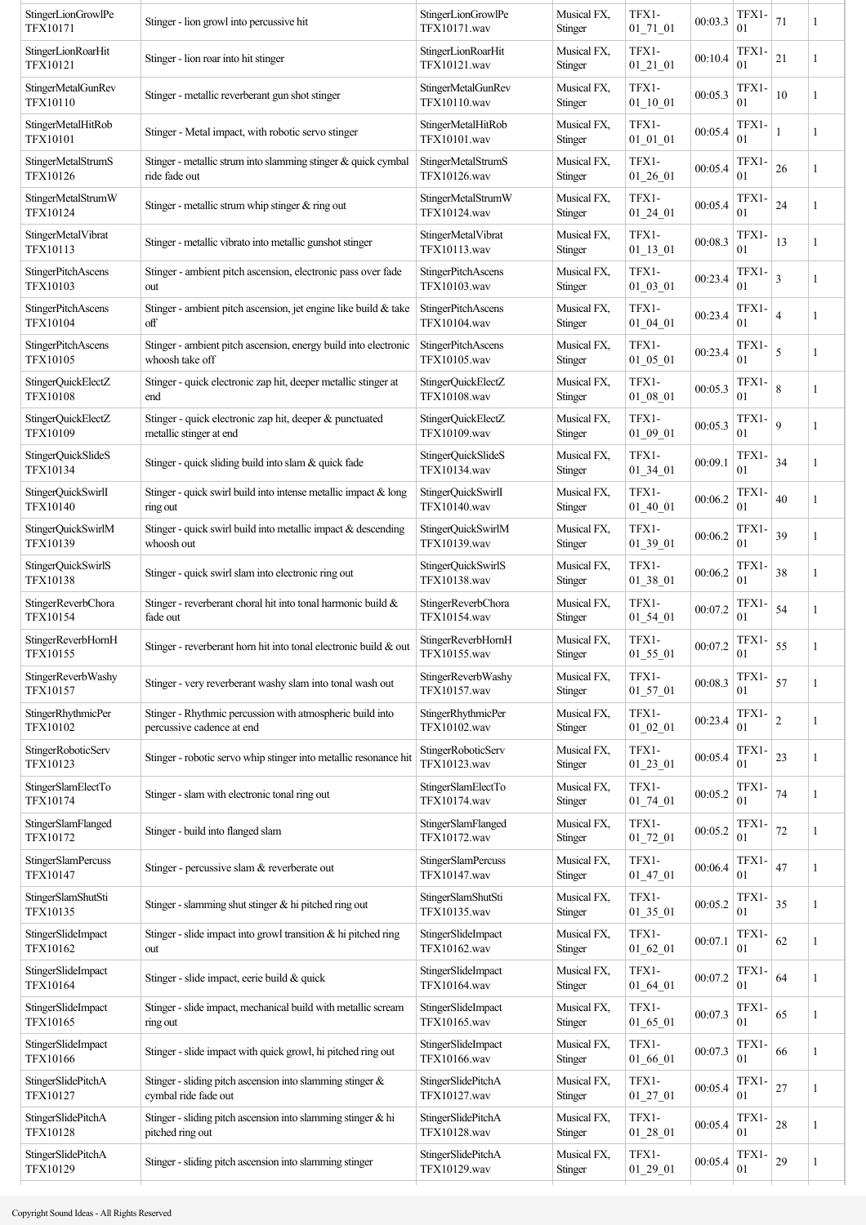| StingerLionGrowlPe<br><b>TFX10171</b>        | Stinger - lion growl into percussive hit                                               | StingerLionGrowlPe<br><b>TFX10171</b> .wav | Musical FX,<br>Stinger | TFX1-<br>$01_71_01$     | 00:03.3 | TFX1-<br>01             | 71             |   |
|----------------------------------------------|----------------------------------------------------------------------------------------|--------------------------------------------|------------------------|-------------------------|---------|-------------------------|----------------|---|
| StingerLionRoarHit<br><b>TFX10121</b>        | Stinger - lion roar into hit stinger                                                   | StingerLionRoarHit<br>TFX10121.wav         | Musical FX,<br>Stinger | TFX1-<br>$01\_21\_01$   | 00:10.4 | TFX1-<br>01             | 21             | 1 |
| StingerMetalGunRev<br><b>TFX10110</b>        | Stinger - metallic reverberant gun shot stinger                                        | StingerMetalGunRev<br>TFX10110.wav         | Musical FX,<br>Stinger | TFX1-<br>$01\_10\_01$   | 00:05.3 | TFX1-<br>01             | 10             | 1 |
| StingerMetalHitRob<br><b>TFX10101</b>        | Stinger - Metal impact, with robotic servo stinger                                     | StingerMetalHitRob<br>TFX10101.wav         | Musical FX,<br>Stinger | TFX1-<br>$01_01_01$     | 00:05.4 | TFX1-<br>01             |                | 1 |
| StingerMetalStrumS<br><b>TFX10126</b>        | Stinger - metallic strum into slamming stinger & quick cymbal<br>ride fade out         | StingerMetalStrumS<br>TFX10126.wav         | Musical FX,<br>Stinger | TFX1-<br>01 26 01       | 00:05.4 | TFX1-<br>01             | 26             | 1 |
| StingerMetalStrumW<br><b>TFX10124</b>        | Stinger - metallic strum whip stinger $&$ ring out                                     | StingerMetalStrumW<br>TFX10124.wav         | Musical FX,<br>Stinger | TFX1-<br>$01\_24\_01$   | 00:05.4 | TFX1-<br>01             | 24             | 1 |
| StingerMetalVibrat<br><b>TFX10113</b>        | Stinger - metallic vibrato into metallic gunshot stinger                               | StingerMetalVibrat<br>TFX10113.wav         | Musical FX,<br>Stinger | TFX1-<br>$01\_13\_01$   | 00:08.3 | TFX1-<br>01             | 13             | 1 |
| StingerPitchAscens<br><b>TFX10103</b>        | Stinger - ambient pitch ascension, electronic pass over fade<br>out                    | <b>StingerPitchAscens</b><br>TFX10103.wav  | Musical FX,<br>Stinger | TFX1-<br>$01\_03\_01$   | 00:23.4 | TFX1-<br>01             | $\overline{3}$ |   |
| StingerPitchAscens<br><b>TFX10104</b>        | Stinger - ambient pitch ascension, jet engine like build $\&$ take<br>off              | StingerPitchAscens<br>TFX10104.wav         | Musical FX,<br>Stinger | TFX1-<br>$01\_04\_01$   | 00:23.4 | TFX1-<br>01             | $\overline{4}$ | 1 |
| <b>StingerPitchAscens</b><br><b>TFX10105</b> | Stinger - ambient pitch ascension, energy build into electronic<br>whoosh take off     | <b>StingerPitchAscens</b><br>TFX10105.wav  | Musical FX,<br>Stinger | TFX1-<br>$01_05_01$     | 00:23.4 | TFX1-<br>01             | 5              | 1 |
| StingerQuickElectZ<br><b>TFX10108</b>        | Stinger - quick electronic zap hit, deeper metallic stinger at<br>end                  | StingerQuickElectZ<br><b>TFX10108.wav</b>  | Musical FX,<br>Stinger | TFX1-<br>$01\_08\_01$   | 00:05.3 | TFX1-<br>01             | 8              | 1 |
| StingerQuickElectZ<br>TFX10109               | Stinger - quick electronic zap hit, deeper & punctuated<br>metallic stinger at end     | StingerQuickElectZ<br>TFX10109.wav         | Musical FX,<br>Stinger | TFX1-<br>$01_09_01$     | 00:05.3 | TFX1-<br>01             | $\mathbf{Q}$   | 1 |
| StingerQuickSlideS<br><b>TFX10134</b>        | Stinger - quick sliding build into slam & quick fade                                   | StingerQuickSlideS<br>TFX10134.wav         | Musical FX,<br>Stinger | TFX1-<br>$01\_34\_01$   | 00:09.1 | TFX1-<br>01             | 34             | 1 |
| StingerQuickSwirlI<br><b>TFX10140</b>        | Stinger - quick swirl build into intense metallic impact $\&$ long<br>ring out         | StingerQuickSwirlI<br>TFX10140.wav         | Musical FX,<br>Stinger | TFX1-<br>$01\_40\_01$   | 00:06.2 | TFX1-<br>01             | 40             | 1 |
| StingerQuickSwirlM<br><b>TFX10139</b>        | Stinger - quick swirl build into metallic impact $\&$ descending<br>whoosh out         | StingerQuickSwirlM<br>TFX10139.wav         | Musical FX,<br>Stinger | TFX1-<br>$01\_39\_01$   | 00:06.2 | TFX1-<br>01             | 39             | 1 |
| StingerQuickSwirlS<br><b>TFX10138</b>        | Stinger - quick swirl slam into electronic ring out                                    | StingerQuickSwirlS<br>TFX10138.wav         | Musical FX,<br>Stinger | TFX1-<br>$01\_38\_01$   | 00:06.2 | TFX1-<br>01             | 38             | 1 |
| StingerReverbChora<br><b>TFX10154</b>        | Stinger - reverberant choral hit into tonal harmonic build &<br>fade out               | <b>StingerReverbChora</b><br>TFX10154.wav  | Musical FX,<br>Stinger | TFX1-<br>$01\_54\_01$   | 00:07.2 | TFX1-<br>01             | 54             | 1 |
| StingerReverbHornH<br><b>TFX10155</b>        | Stinger - reverberant horn hit into tonal electronic build & out                       | StingerReverbHornH<br>TFX10155.wav         | Musical FX,<br>Stinger | TFX1-<br>$01\_55\_01$   | 00:07.2 | TFX1-<br>0 <sub>1</sub> | 55             | 1 |
| StingerReverbWashy<br><b>TFX10157</b>        | Stinger - very reverberant washy slam into tonal wash out                              | StingerReverbWashy<br>TFX10157.wav         | Musical FX,<br>Stinger | TFX1-<br>$01_57_01$     | 00:08.3 | TFX1-<br>01             | 57             | 1 |
| <b>StingerRhythmicPer</b><br>TFX10102        | Stinger - Rhythmic percussion with atmospheric build into<br>percussive cadence at end | <b>StingerRhythmicPer</b><br>TFX10102.wav  | Musical FX,<br>Stinger | TFX1-<br>$01_02_01$     | 00:23.4 | TFX1-<br>01             | $\sqrt{2}$     | 1 |
| StingerRoboticServ<br><b>TFX10123</b>        | Stinger - robotic servo whip stinger into metallic resonance hit                       | StingerRoboticServ<br>TFX10123.wav         | Musical FX,<br>Stinger | TFX1-<br>$01_23_01$     | 00:05.4 | TFX1-<br>01             | 23             | 1 |
| StingerSlamElectTo<br><b>TFX10174</b>        | Stinger - slam with electronic tonal ring out                                          | StingerSlamElectTo<br>TFX10174.wav         | Musical FX,<br>Stinger | TFX1-<br>$01\_74\_01$   | 00:05.2 | TFX1-<br>01             | 74             | 1 |
| StingerSlamFlanged<br><b>TFX10172</b>        | Stinger - build into flanged slam                                                      | StingerSlamFlanged<br>TFX10172.wav         | Musical FX,<br>Stinger | TFX1-<br>$01_72_01$     | 00:05.2 | TFX1-<br>01             | 72             | 1 |
| StingerSlamPercuss<br><b>TFX10147</b>        | Stinger - percussive slam & reverberate out                                            | StingerSlamPercuss<br>TFX10147.wav         | Musical FX,<br>Stinger | TFX1-<br>$01_47_01$     | 00:06.4 | TFX1-<br>01             | 47             | 1 |
| StingerSlamShutSti<br>TFX10135               | Stinger - slamming shut stinger & hi pitched ring out                                  | StingerSlamShutSti<br>TFX10135.wav         | Musical FX,<br>Stinger | TFX1-<br>$01\_35\_01$   | 00:05.2 | TFX1-<br>01             | 35             | 1 |
| StingerSlideImpact<br><b>TFX10162</b>        | Stinger - slide impact into growl transition $\&$ hi pitched ring<br>out               | StingerSlideImpact<br>TFX10162.wav         | Musical FX,<br>Stinger | TFX1-<br>$01_{62}01$    | 00:07.1 | TFX1-<br>01             | 62             | 1 |
| StingerSlideImpact<br><b>TFX10164</b>        | Stinger - slide impact, eerie build $\&$ quick                                         | StingerSlideImpact<br>TFX10164.wav         | Musical FX,<br>Stinger | TFX1-<br>$01_{64}$ $01$ | 00:07.2 | TFX1-<br>01             | 64             | 1 |
| StingerSlideImpact<br><b>TFX10165</b>        | Stinger - slide impact, mechanical build with metallic scream<br>ring out              | StingerSlideImpact<br>TFX10165.wav         | Musical FX,<br>Stinger | TFX1-<br>$01_{65}$ $01$ | 00:07.3 | TFX1-<br>01             | 65             | 1 |
| StingerSlideImpact<br><b>TFX10166</b>        | Stinger - slide impact with quick growl, hi pitched ring out                           | StingerSlideImpact<br><b>TFX10166.wav</b>  | Musical FX,<br>Stinger | TFX1-<br>$01_{66}$ $01$ | 00:07.3 | TFX1-<br>01             | 66             | 1 |
| StingerSlidePitchA<br><b>TFX10127</b>        | Stinger - sliding pitch ascension into slamming stinger &<br>cymbal ride fade out      | StingerSlidePitchA<br>TFX10127.wav         | Musical FX,<br>Stinger | TFX1-<br>$01_27_01$     | 00:05.4 | TFX1-<br>01             | 27             |   |
| StingerSlidePitchA<br><b>TFX10128</b>        | Stinger - sliding pitch ascension into slamming stinger $\&$ hi<br>pitched ring out    | StingerSlidePitchA<br>TFX10128.wav         | Musical FX,<br>Stinger | TFX1-<br>$01\_28\_01$   | 00:05.4 | TFX1-<br>01             | 28             | 1 |
| StingerSlidePitchA<br><b>TFX10129</b>        | Stinger - sliding pitch ascension into slamming stinger                                | StingerSlidePitchA<br>TFX10129.wav         | Musical FX,<br>Stinger | TFX1-<br>$01\_29\_01$   | 00:05.4 | TFX1-<br>01             | 29             | 1 |
|                                              |                                                                                        |                                            |                        |                         |         |                         |                |   |